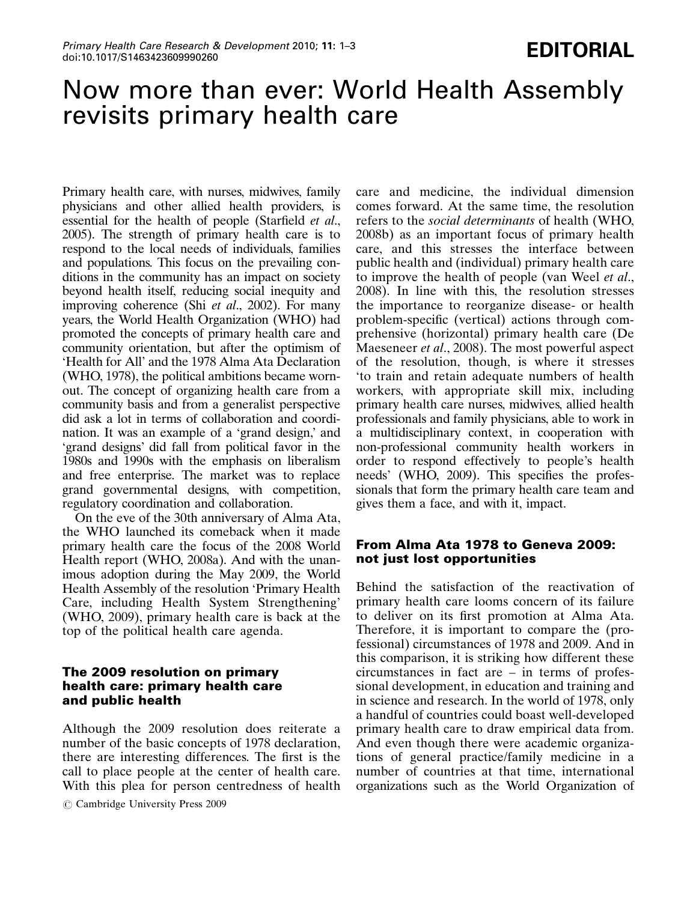# Now more than ever: World Health Assembly revisits primary health care

Primary health care, with nurses, midwives, family physicians and other allied health providers, is essential for the health of people (Starfield et al., 2005). The strength of primary health care is to respond to the local needs of individuals, families and populations. This focus on the prevailing conditions in the community has an impact on society beyond health itself, reducing social inequity and improving coherence (Shi *et al.*, 2002). For many years, the World Health Organization (WHO) had promoted the concepts of primary health care and community orientation, but after the optimism of 'Health for All' and the 1978 Alma Ata Declaration (WHO, 1978), the political ambitions became wornout. The concept of organizing health care from a community basis and from a generalist perspective did ask a lot in terms of collaboration and coordination. It was an example of a 'grand design,' and 'grand designs' did fall from political favor in the 1980s and 1990s with the emphasis on liberalism and free enterprise. The market was to replace grand governmental designs, with competition, regulatory coordination and collaboration.

On the eve of the 30th anniversary of Alma Ata, the WHO launched its comeback when it made primary health care the focus of the 2008 World Health report (WHO, 2008a). And with the unanimous adoption during the May 2009, the World Health Assembly of the resolution 'Primary Health Care, including Health System Strengthening' (WHO, 2009), primary health care is back at the top of the political health care agenda.

## The 2009 resolution on primary health care: primary health care and public health

Although the 2009 resolution does reiterate a number of the basic concepts of 1978 declaration, there are interesting differences. The first is the call to place people at the center of health care. With this plea for person centredness of health

 $\circ$  Cambridge University Press 2009

care and medicine, the individual dimension comes forward. At the same time, the resolution refers to the social determinants of health (WHO, 2008b) as an important focus of primary health care, and this stresses the interface between public health and (individual) primary health care to improve the health of people (van Weel et al., 2008). In line with this, the resolution stresses the importance to reorganize disease- or health problem-specific (vertical) actions through comprehensive (horizontal) primary health care (De Maeseneer et al., 2008). The most powerful aspect of the resolution, though, is where it stresses 'to train and retain adequate numbers of health workers, with appropriate skill mix, including primary health care nurses, midwives, allied health professionals and family physicians, able to work in a multidisciplinary context, in cooperation with non-professional community health workers in order to respond effectively to people's health needs' (WHO, 2009). This specifies the professionals that form the primary health care team and gives them a face, and with it, impact.

### From Alma Ata 1978 to Geneva 2009: not just lost opportunities

Behind the satisfaction of the reactivation of primary health care looms concern of its failure to deliver on its first promotion at Alma Ata. Therefore, it is important to compare the (professional) circumstances of 1978 and 2009. And in this comparison, it is striking how different these circumstances in fact are – in terms of professional development, in education and training and in science and research. In the world of 1978, only a handful of countries could boast well-developed primary health care to draw empirical data from. And even though there were academic organizations of general practice/family medicine in a number of countries at that time, international organizations such as the World Organization of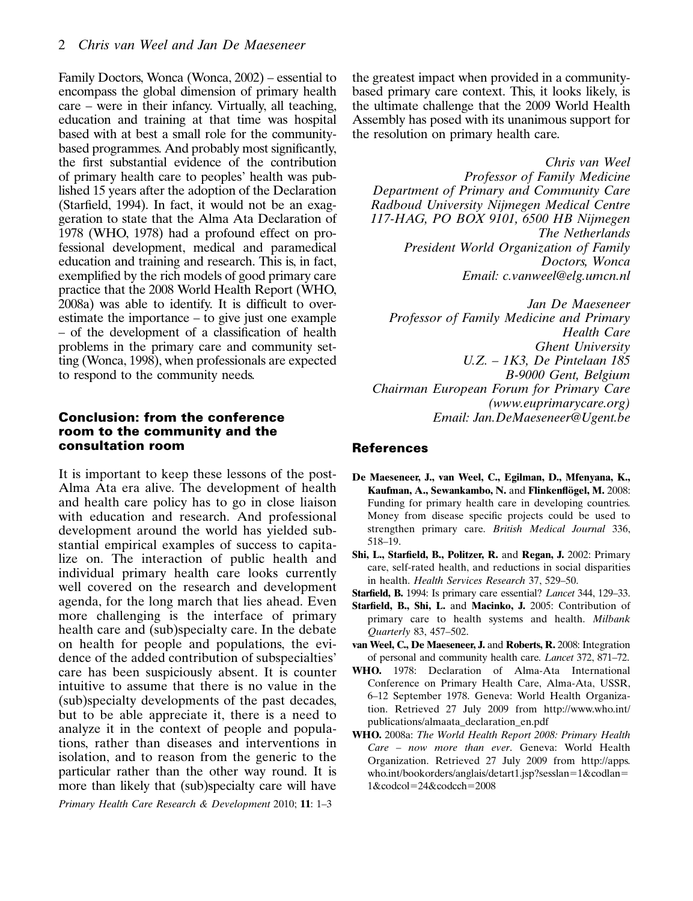Family Doctors, Wonca (Wonca, 2002) – essential to encompass the global dimension of primary health care – were in their infancy. Virtually, all teaching, education and training at that time was hospital based with at best a small role for the communitybased programmes. And probably most significantly, the first substantial evidence of the contribution of primary health care to peoples' health was published 15 years after the adoption of the Declaration (Starfield, 1994). In fact, it would not be an exaggeration to state that the Alma Ata Declaration of 1978 (WHO, 1978) had a profound effect on professional development, medical and paramedical education and training and research. This is, in fact, exemplified by the rich models of good primary care practice that the 2008 World Health Report (WHO, 2008a) was able to identify. It is difficult to overestimate the importance – to give just one example – of the development of a classification of health problems in the primary care and community setting (Wonca, 1998), when professionals are expected to respond to the community needs.

### Conclusion: from the conference room to the community and the consultation room

It is important to keep these lessons of the post-Alma Ata era alive. The development of health and health care policy has to go in close liaison with education and research. And professional development around the world has yielded substantial empirical examples of success to capitalize on. The interaction of public health and individual primary health care looks currently well covered on the research and development agenda, for the long march that lies ahead. Even more challenging is the interface of primary health care and (sub)specialty care. In the debate on health for people and populations, the evidence of the added contribution of subspecialties' care has been suspiciously absent. It is counter intuitive to assume that there is no value in the (sub)specialty developments of the past decades, but to be able appreciate it, there is a need to analyze it in the context of people and populations, rather than diseases and interventions in isolation, and to reason from the generic to the particular rather than the other way round. It is more than likely that (sub)specialty care will have

Primary Health Care Research & Development 2010; 11: 1–3

the greatest impact when provided in a communitybased primary care context. This, it looks likely, is the ultimate challenge that the 2009 World Health Assembly has posed with its unanimous support for the resolution on primary health care.

Chris van Weel Professor of Family Medicine Department of Primary and Community Care Radboud University Nijmegen Medical Centre 117-HAG, PO BOX 9101, 6500 HB Nijmegen The Netherlands President World Organization of Family Doctors, Wonca Email: c.vanweel@elg.umcn.nl

Jan De Maeseneer Professor of Family Medicine and Primary Health Care Ghent University U.Z. – 1K3, De Pintelaan 185 B-9000 Gent, Belgium Chairman European Forum for Primary Care (www.euprimarycare.org) Email: Jan.DeMaeseneer@Ugent.be

### References

- De Maeseneer, J., van Weel, C., Egilman, D., Mfenyana, K., Kaufman, A., Sewankambo, N. and Flinkenflögel, M. 2008: Funding for primary health care in developing countries. Money from disease specific projects could be used to strengthen primary care. British Medical Journal 336, 518–19.
- Shi, L., Starfield, B., Politzer, R. and Regan, J. 2002: Primary care, self-rated health, and reductions in social disparities in health. Health Services Research 37, 529–50.

Starfield, B. 1994: Is primary care essential? Lancet 344, 129–33.

- Starfield, B., Shi, L. and Macinko, J. 2005: Contribution of primary care to health systems and health. Milbank Quarterly 83, 457–502.
- van Weel, C., De Maeseneer, J. and Roberts, R. 2008: Integration of personal and community health care. Lancet 372, 871–72.
- WHO. 1978: Declaration of Alma-Ata International Conference on Primary Health Care, Alma-Ata, USSR, 6–12 September 1978. Geneva: World Health Organization. Retrieved 27 July 2009 from http://www.who.int/ publications/almaata\_declaration\_en.pdf
- WHO. 2008a: The World Health Report 2008: Primary Health Care – now more than ever. Geneva: World Health Organization. Retrieved 27 July 2009 from http://apps. who.int/bookorders/anglais/detart1.jsp?sesslan=1&codlan=  $1&\text{codcol}=24&\text{codcch}=2008$